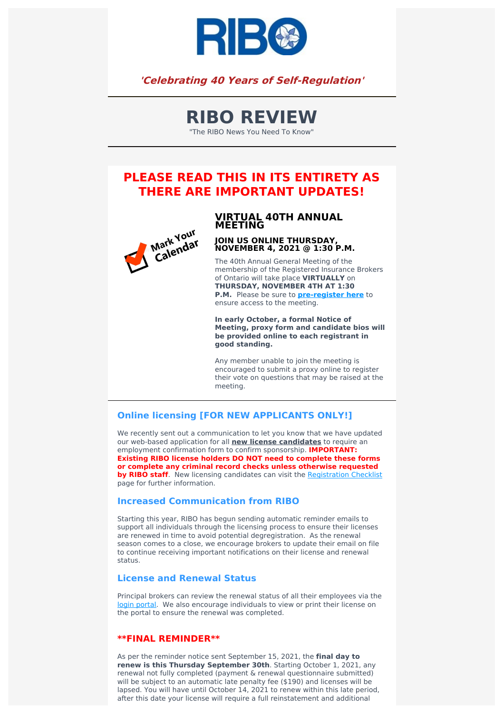

## **'Celebrating 40 Years of Self-Regulation'**

# **RIBO REVIEW**

"The RIBO News You Need To Know"

# **PLEASE READ THIS IN ITS ENTIRETY AS THERE ARE IMPORTANT UPDATES!**



### **VIRTUAL 40TH ANNUAL MEETING**

# **JOIN US ONLINE THURSDAY, NOVEMBER 4, <sup>2021</sup> @ 1:30 P.M.**

The 40th Annual General Meeting of the membership of the Registered Insurance Brokers of Ontario will take place **VIRTUALLY** on **THURSDAY, NOVEMBER 4TH AT 1:30 P.M.** Please be sure to **[pre-register](https://www.ribo.com/about-ribo/agm-registration/) here** to ensure access to the meeting.

**In early October, a formal Notice of Meeting, proxy form and candidate bios will be provided online to each registrant in good standing.**

Any member unable to join the meeting is encouraged to submit a proxy online to register their vote on questions that may be raised at the meeting.

## **Online licensing [FOR NEW APPLICANTS ONLY!]**

We recently sent out a communication to let you know that we have updated our web-based application for all **new license candidates** to require an employment confirmation form to confirm sponsorship. **IMPORTANT: Existing RIBO license holders DO NOT need to complete these forms or complete any criminal record checks unless otherwise requested by RIBO staff**. New licensing candidates can visit the [Registration](https://www.ribo.com/registration-checklist/) Checklist page for further information.

### **Increased Communication from RIBO**

Starting this year, RIBO has begun sending automatic reminder emails to support all individuals through the licensing process to ensure their licenses are renewed in time to avoid potential degregistration. As the renewal season comes to a close, we encourage brokers to update their email on file to continue receiving important notifications on their license and renewal status.

#### **License and Renewal Status**

Principal brokers can review the renewal status of all their employees via the login [portal](https://membership.ribo.com/ThinClient/Public/LogOn/EN/#/forms/new/?table=0x8000000000000174&form=0x8000000000000026&command=0x8000000000000BD0). We also encourage individuals to view or print their license on the portal to ensure the renewal was completed.

#### **\*\*FINAL REMINDER\*\***

As per the reminder notice sent September 15, 2021, the **final day to renew is this Thursday September 30th**. Starting October 1, 2021, any renewal not fully completed (payment & renewal questionnaire submitted) will be subject to an automatic late penalty fee (\$190) and licenses will be lapsed. You will have until October 14, 2021 to renew within this late period, after this date your license will require a full reinstatement and additional